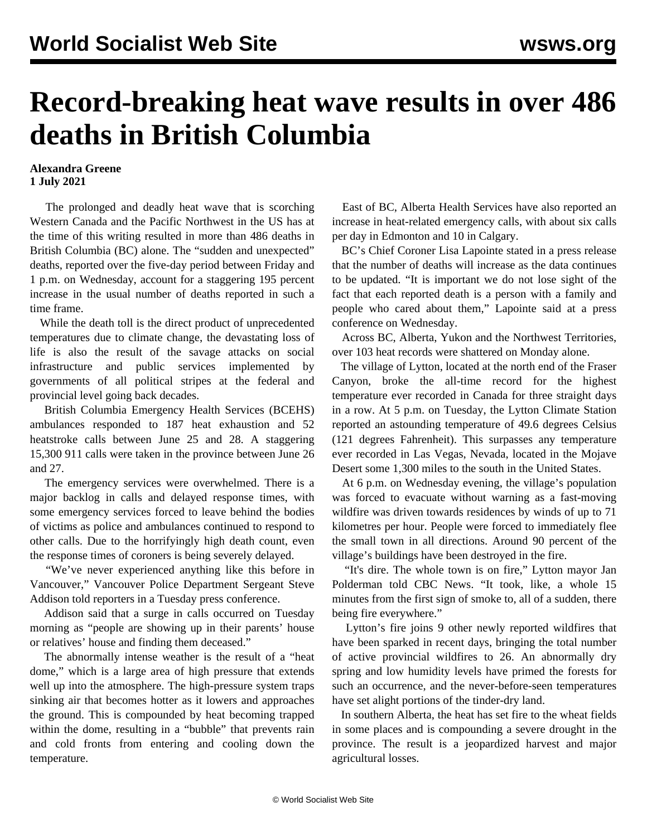## **Record-breaking heat wave results in over 486 deaths in British Columbia**

## **Alexandra Greene 1 July 2021**

 The prolonged and deadly heat wave that is scorching Western Canada and the Pacific Northwest in the US has at the time of this writing resulted in more than 486 deaths in British Columbia (BC) alone. The "sudden and unexpected" deaths, reported over the five-day period between Friday and 1 p.m. on Wednesday, account for a staggering 195 percent increase in the usual number of deaths reported in such a time frame.

 While the death toll is the direct product of unprecedented temperatures due to climate change, the devastating loss of life is also the result of the savage attacks on social infrastructure and public services implemented by governments of all political stripes at the federal and provincial level going back decades.

 British Columbia Emergency Health Services (BCEHS) ambulances responded to 187 heat exhaustion and 52 heatstroke calls between June 25 and 28. A staggering 15,300 911 calls were taken in the province between June 26 and 27.

 The emergency services were overwhelmed. There is a major backlog in calls and delayed response times, with some emergency services forced to leave behind the bodies of victims as police and ambulances continued to respond to other calls. Due to the horrifyingly high death count, even the response times of coroners is being severely delayed.

 "We've never experienced anything like this before in Vancouver," Vancouver Police Department Sergeant Steve Addison told reporters in a Tuesday press conference.

 Addison said that a surge in calls occurred on Tuesday morning as "people are showing up in their parents' house or relatives' house and finding them deceased."

 The abnormally intense weather is the result of a "heat dome," which is a large area of high pressure that extends well up into the atmosphere. The high-pressure system traps sinking air that becomes hotter as it lowers and approaches the ground. This is compounded by heat becoming trapped within the dome, resulting in a "bubble" that prevents rain and cold fronts from entering and cooling down the temperature.

 East of BC, Alberta Health Services have also reported an increase in heat-related emergency calls, with about six calls per day in Edmonton and 10 in Calgary.

 BC's Chief Coroner Lisa Lapointe stated in a press release that the number of deaths will increase as the data continues to be updated. "It is important we do not lose sight of the fact that each reported death is a person with a family and people who cared about them," Lapointe said at a press conference on Wednesday.

 Across BC, Alberta, Yukon and the Northwest Territories, over 103 heat records were shattered on Monday alone.

 The village of Lytton, located at the north end of the Fraser Canyon, broke the all-time record for the highest temperature ever recorded in Canada for three straight days in a row. At 5 p.m. on Tuesday, the Lytton Climate Station reported an astounding temperature of 49.6 degrees Celsius (121 degrees Fahrenheit). This surpasses any temperature ever recorded in Las Vegas, Nevada, located in the Mojave Desert some 1,300 miles to the south in the United States.

 At 6 p.m. on Wednesday evening, the village's population was forced to evacuate without warning as a fast-moving wildfire was driven towards residences by winds of up to 71 kilometres per hour. People were forced to immediately flee the small town in all directions. Around 90 percent of the village's buildings have been destroyed in the fire.

 "It's dire. The whole town is on fire," Lytton mayor Jan Polderman told CBC News. "It took, like, a whole 15 minutes from the first sign of smoke to, all of a sudden, there being fire everywhere."

 Lytton's fire joins 9 other newly reported wildfires that have been sparked in recent days, bringing the total number of active provincial wildfires to 26. An abnormally dry spring and low humidity levels have primed the forests for such an occurrence, and the never-before-seen temperatures have set alight portions of the tinder-dry land.

 In southern Alberta, the heat has set fire to the wheat fields in some places and is compounding a severe drought in the province. The result is a jeopardized harvest and major agricultural losses.